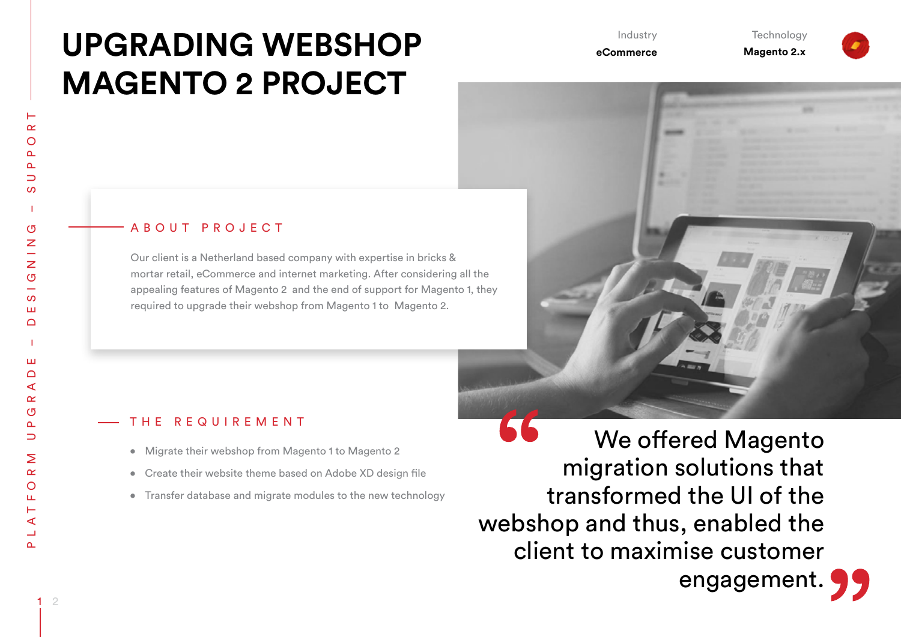# **UPGRADING WEBSHOP MAGENTO 2 PROJECT**

Industry

**Technology** 

**Magento 2.x**

# **eCommerce**

# ABOUT PROJECT

Our client is a Netherland based company with expertise in bricks & mortar retail, eCommerce and internet marketing. After considering all the appealing features of Magento 2 and the end of support for Magento 1, they required to upgrade their webshop from Magento 1 to Magento 2.

# THE REQUIREMENT

- • Migrate their webshop from Magento 1 to Magento 2
- Create their website theme based on Adobe XD design file
- Transfer database and migrate modules to the new technology

66 We offered Magento migration solutions that transformed the UI of the webshop and thus, enabled the client to maximise customer engagement.